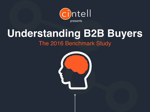

# **Understanding B2B Buyers**

### The 2016 Benchmark Study

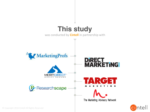

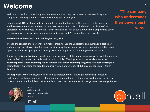### **Welcome**

Welcome to the first of what I hope to be many annual industry benchmark reports examining how companies are doing as it relates to understanding their B2B buyers.

Heading into 2016, my team and I are proud to present the findings of this research to the marketing and business communities, and we couldn't have done so at a more critical time in the history of our profession. As we compete to earn the scarce attention and trust of our overwhelmed, empowered buyers, this is an area of strategy that is fundamental and critical for B2B organizations to get right.

#### The company who understands their buyers best, wins.

Though the concept of a "persona" - a fictional character used to understand and humanize a particular audience segment - has existed for years, our study dug deeper to uncover why organizations fail to create, update, maintain, or apply persona intelligence in meaningful ways, rendering them ineffective.

Thank you to **Samantha Stone,** founder and principal analyst of the Marketing Advisory Network for being the other half of my brain on this initiative from start to finish. Thank you also to the excellent teams at **MarketingProfs, Direct Marketing News, Merit Direct, Target Marketing Magazine, and ResearchScape for** their efforts in expanding the breadth of our survey to a wide variety of B2B organizations across North America. 

The responses within shed light on an often misunderstood topic - how high-performing companies understand their buyers, maintain that information, and put the insight to use within their own businesses. I hope you are inspired to follow their example and lead the customer-centric charge in your own organization.



Best, 
 Katie 
 Martell 
 CMO and Co-Founder [Cintell](http://www.cintell.net)





3

who understands their buyers best, **wins."**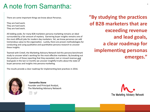### A note from Samantha:

There are some important things we know about Personas.

They are hard work. They are hard work. They are hard work.

All kidding aside, for many B2B marketers persona marketing remains an ideal surrounded by a fair amount of mystery. Garnering buyer insights remains one of the most difficult jobs for modern day marketers. Yet, we know personas can add tremendous value to the organization. Luckily, there are proven methodologies for conducting and using qualitative and quantitative persona research to uncover these insights.

Teamed with Cintell, the Marketing Advisory Network led this persona benchmark study to uncover what's working for the most effective marketers. By breaking out the practices of those reporting that they exceeded, met or missed revenue and lead goals in the last 12 months we uncover insightful truths about the state of buyer personas and insights into persona marketing.

The results provide a clear roadmap for implementing best practices in 2016.



-‐ 
 **Samantha 
 Stone** Founder and Principal Analyst, The Marketing Advisory Network

"By studying the practices of B2B marketers that are **exceeding revenue** and lead goals, a clear roadmap for **implementing personas emerges."**

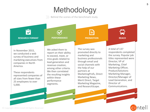### **Methodology**

Behind the scenes of the benchmark study.



These respondents represented companies of all sizes from fewer than 25 employees to over 5,000. 

among other criteria. We then correlated the resulting insights within these performance 
 segments.

partners at MarketingProfs, Direct Marketing News, Merit Direct, Target Marketing Magazine, and ResearchScape.

Product/Solutions 
 Marketing Manager, Director/Manager of Lead Generation, and Director of Communications. 

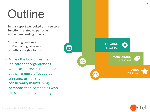# **Outline**

In this report we looked at three core functions related to personas and understanding buyers.

- 1. Creating personas
- 2. Maintaining personas
- 3. Putting insights to use

 $\gg$  Across the board, results indicate that organizations who exceed revenue and lead goals are **more effective at** creating, using, and consistently maintaining **personas** than companies who miss lead and revenue targets.



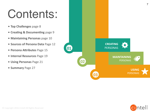# Contents:

- Top Challenges page 8
- Creating & Documenting page 9
- **Maintaining Personas** page 10
- Sources of Persona Data Page 12
- Persona Attributes Page 15
- **Internal Resources** Page 19
- **Using Personas** Page 21
- **Summary** Page 27



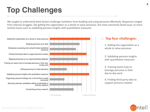## **Top Challenges**

We sought to understand what factors challenge marketers from building and using personas effectively. Responses ranged from internal struggles, like getting the organization as a whole to value personas, the most commonly faced issue, to more tactical issues such as validating persona insights with quantitative measures.



#### **Top four challenges:**

1. Getting the organization as a whole to value personas

2. Validating persona insights with quantitative measures

3. Training teams how to leverage personas in their day-to-day work

4. Finding third-party data to support persona creation

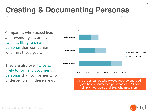## **Creating & Documenting Personas**

Companies who exceed lead and revenue goals are over twice as likely to create personas than companies who miss these goals.

They are also over twice as likely to formally document personas than companies who



underperform in these areas. The manning of companies who exceed revenue and lead goals have documented personas vs. 37% who simply meet goals and 26% who miss them.

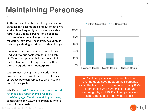## **Maintaining Personas**

As the worlds of our buyers change and evolve, personas can become stale and out-of-date. We studied how frequently respondents are able to refresh and update personas on an ongoing basis to reflect these changes, whether regulatory (new laws), economic, evolution of technology, shifting priorities, or other changes.

We found that companies who exceed their lead and revenue goals were far more likely (7.4X) to have updated their personas within the last 6 months of taking our survey than their underperforming counterparts.

With so much changing in the world of our buyers, it's no surprise to see such a startling difference between companies who miss and exceed their goals.

What's more, 47.1% of companies who exceed revenue goals report themselves to be *consistently effective* at maintaining personas, compared to only 13.0% of companies who fell short of these goals.



64.7% of companies who exceed lead and revenue goals have updated their personas within the last 6 months, compared to only 8.7% of companies who have missed lead and revenue goals, and 18.4% of companies who simply meet lead and revenue goals.

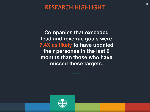**Companies that exceeded lead and revenue goals were 7.4X as likely to have updated their personas in the last 6 months than those who have missed these targets.** 

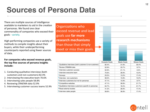## **Sources of Persona Data**

There are multiple sources of intelligence available to marketers to aid in the creation of personas. We found one clear commonality of companies who exceed their goals - variety.

High-performing companies use a variety of methods to compile insights about their buyers, while their underperforming counterparts reported using fewer sources of data.

For companies who exceed revenue goals, the top five sources of persona insights **include:**

- 1. Conducting qualitative interviews (both customers and non-customers) 82.4%
- 2. Interviewing the executive team 70.6%
- 3. Interviewing sales people 58.8%
- 4. Reviewing CRM/MA data 52.9%
- 5. Interviewing customer success teams 52.9%

Organizations who exceed revenue and lead goals use **far more** research mechanisms than those that simply meet or miss their goals.

|                                                         | Exceeds Goals | Meets Goals | Misses Goals |  |
|---------------------------------------------------------|---------------|-------------|--------------|--|
| Qualitative interviews (both customer & non-customer)   | 82.4%         | 31.6%       | 30.4%        |  |
| Review CRM/MA data                                      | 52.9%         | 23.7%       | 8.7%         |  |
| Interview customer success                              | 52.9%         | 21.1%       | 0.0%         |  |
| Interview executive team                                | 70.6%         | 28.9%       | 13.0%        |  |
| Surveys                                                 | 23.5%         | 13.2%       | 17.4%        |  |
| Interview non-customers                                 | 58.3%         | 15.8%       | 13.0%        |  |
| Interview customers but not for personas                | 47.1%         | 15.8%       | 8.7%         |  |
| Competitive websites                                    | 47.1%         | 36.8%       | 21.7%        |  |
| ■ Qualitative interviews customers specific to personas | 64.7%         | 18.4%       | 21.7%        |  |
| Read external studies                                   | 41.2%         | 28.9%       | 17.4%        |  |
| Interview sales people                                  | 58.8%         | 36.8%       | 17.4%        |  |

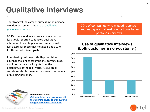## **Qualitative Interviews**

The strongest indicator of success in the persona creation process was the use of qualitative persona interviews.

82.4% of respondents who exceed revenue and lead goals reported conducted qualitative interviews to create personas compared with just 31.6% for those that met goals and 30.4% for those that missed goals.

Interviewing real buyers (both potential and existing) challenges assumptions, corrects bias, and informs persona insights from the perspective of the real-world. As our study correlates, this is the most important component of building personas.

70% of companies who missed revenue and lead goals **did not** conduct qualitative persona interviews.

#### **Use of qualitative interviews (both customer & non-customer)**





**Related resource: [Get your interview groove on with](http://cintell.net/buyer-persona-interview-guide)  the Ultimate Guide to Conducting Insightful Persona Interviews** 

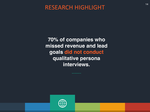**70% of companies who missed revenue and lead goals did not conduct qualitative persona interviews.** 

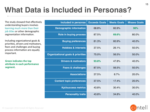## **What Data is Included in Personas?**

The study showed that effectively understanding buyers involves learning much more than their job titles or other demographic segmentation information.

Including organizational goals & priorities, drivers and motivators, fears and challenges and buying process information are equally important. 

**Green indicates the top** attribute in each performance **segment.**

| <b>Included in personas</b>                  | <b>Exceeds Goals</b> | <b>Meets Goals</b> | <b>Misses Goals</b> |
|----------------------------------------------|----------------------|--------------------|---------------------|
| <b>Demographic information</b>               | 68.8%                | 60.9%              | 90%                 |
| Role in buying process                       | 87.5%                | 69.6%              | 80.0%               |
| <b>Buying preferences</b>                    | 81.3%                | 60.9%              | 40.0%               |
| <b>Hobbies &amp; interests</b>               | 37.5%                | 26.1%              | 50.0%               |
| <b>Organizational goals &amp; priorities</b> | 75.0%                | 56.5%              | 50.0%               |
| <b>Drivers &amp; motivators</b>              | 93.8%                | 47.8%              | 40.0%               |
| <b>Fears &amp; challenges</b>                | 87.5%                | 56.5%              | 50.0%               |
| <b>Associations</b>                          | 37.5%                | 8.7%               | 20.0%               |
| <b>Content topic preferences</b>             | 37.5%                | 17.4%              | 20.0%               |
| <b>Kpi/success metrics</b>                   | 43.8%                | 30.4%              | 30.0%               |
| <b>Personality traits</b>                    | 43.8%                | 34.8%              | 40.0%               |

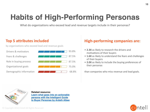## **Habits of High-Performing Personas**

What do organizations who exceed lead and revenue targets include in their personas?

#### **Top 5 attributes included**

by organizations who exceed lead and revenue goals

| Drivers & motivators    | 93.8% |
|-------------------------|-------|
| Fears & challenges      | 87.5% |
| Role in buying process  | 87.5% |
| Organizational goals    | 75.0% |
| Demographic information | 68.8% |

#### **High-performing companies are:**

- 2.3X as likely to research the drivers and motivations of their buyers
- 1.6X as likely to understand the fears and challenges of their buyers
- 2.0X as likely to include the buying preferences of their personas

than companies who miss revenue and lead goals.



**Related resource: [Learn what goes into an actionable](http://cintell.net/intelligent-guide-to-buyer-personas)  persona with the Intelligent Guide to Buyer Personas by Ardath Albee**

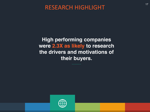**High performing companies were 2.3X as likely to research the drivers and motivations of their buyers.**

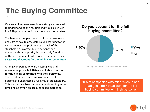## **The Buying Committee**

One area of improvement in our study was related to understanding the multiple individuals involved in a B2B purchase decision - the buying committee.

The best salespeople know that in order to close a deal, it's critical to articulate value according to the various needs and preferences of each of the stakeholders involved. Buyer personas can demystify this complexity, but our study found that of those respondents who do have personas, only **52.6% could account for the full buying committee.** 

Among companies who are missing lead and revenue targets, a full 70% are not able to account for the buying committee with their personas. There is clearly room to improve our use of personas to understand a full array of stakeholders. This is especially true for companies investing more time and attention on account-based marketing.

### 52.6% 47.40% **Do you account for the full buying committee?** Yes No

Among respondents who do have personas.

70% of companies who miss revenue and lead goals **do not** account for the full buying committee with their personas.

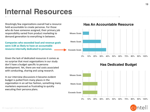## **Internal Resources**

Shockingly few organizations overall had a resource held accountable to create personas. For those who do have someone assigned, their primary job responsibility varied from product marketing to demand generation to everything in between.

**Companies who exceeded lead and revenue goals** were 3.8X as likely to have an accountable resource internally dedicated to personas.

Given the lack of dedicated resources it comes as no surprise that most organizations in our study don't have a budget specific to persona development. Yet, there are real costs associated with conducting, sharing and using research.

In our interview discussions it became evident budget is pulled from many places in the organization in an ad hoc fashion, something many marketers expressed as frustrating to quickly executing their persona plans.





#### **Has Dedicated Budget**



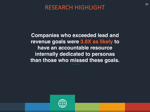**Companies who exceeded lead and revenue goals were 3.8X as likely to have an accountable resource internally dedicated to personas than those who missed these goals.** 

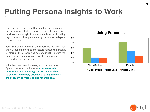## **Putting Persona Insights to Work**

Our study demonstrated that building personas takes a fair amount of effort. To maximize the return on this hard work, we sought to understand how participating organizations utilize persona insights to inform day-today operations.

You'll remember earlier in the report we revealed that the #1 challenge for B2B marketers related to personas is internal. Truly leveraging persona insights across the organization remains elusive for the majority of respondents in our survey.

What became clear, however, is that those who figure it out reap the benefits. **Companies who** meet or exceed revenue goals are 2.4X as likely to be effective or very effective at using personas than those who miss lead and revenue goals.



**Using Personas**

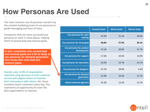### **How Personas Are Used**

The most common use of personas overall is by the content marketing team to use personas to guide messaging and tone of voice.

Companies that are more successful put personas to work in more places, helping them to exceed lead and revenue goals.

**In fact, companies who exceed lead and revenue goals are 2.4X as likely to use personas for demand generation than those who miss lead and revenue goals.**

Overall, only 12.8% of respondents reported using personas to train customer service and support teams to improve their interactions with clients. Yet, these functions touch customers every day. This represents an opportunity for even the best organizations to improve.

|                                              | <b>Exceeds Goals</b> | <b>Meets Goals</b> | <b>Misses Goals</b> |
|----------------------------------------------|----------------------|--------------------|---------------------|
| <b>Use personas for sales</b><br>training    | 52.9%                | 21.1%              | 30.4%               |
| Use personas for messaging                   | 58.8%                | 57.9%              | 39.1%               |
| Use personas for product<br>development      | 47.1%                | 28.9%              | 21.7%               |
| Use personas for support                     | 17.6%                | 10.5%              | 13.0%               |
| <b>Use personas for executives</b>           | 29.4%                | 23.7%              | 21.7%               |
| Use personas for designers                   | 47.1%                | 28.9%              | 4.3%                |
| <b>Use personas for demand</b><br>generation | 52.9%                | 34.2%              | 21.7%               |
| <b>Inform external agencies</b>              | 35.3%                | 13.2%              | 21.7%               |

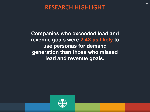**Companies who exceeded lead and revenue goals were 2.4X as likely to use personas for demand generation than those who missed lead and revenue goals.**

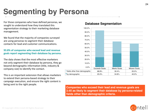## **Segmenting by Persona**

For those companies who have defined personas, we sought to understand how they translated this segmentation strategy to their marketing database management. 

We found that the majority of companies surveyed are using personas to segment their database contacts for lead and customer communications.

#### 93.8% of companies who exceed lead and revenue goals report segmenting their database by persona.

The data shows that the most effective marketers not only segment their database by persona, they go beyond demographic information (title, industry & company size) to identify the contact.

This is an important extension that allows marketers to extend their persona-based strategy to their campaign execution, and ensure the right content is being sent to the right people.

#### **Database Segmentation**



**Companies who exceed their lead and revenue goals are 3.4X as likely to segment their database by persona-related fields other than demographic criteria.** 

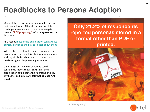## **Roadblocks to Persona Adoption**

Much of the reason why personas fail is due to their static format. After all our hard work to create personas we are too quick to relegate them to "PDF purgatory;" left to stagnate and be forgotten.

As a result, most of the organization can NOT list primary personas and key attributes about them.

When asked to estimate the percentage of the organization that could list their primary personas and key attributes about each of them, most marketers gave disappointing estimates.

Only 28.6% of survey respondents could confidently report that at LEAST half their organization could name their persona and key attributes, and only 8.2% felt that at least 75% could.

**Only 21.2% of respondents reported personas stored in a format other than PDF or printed.** 



**"PDF Purgatory"**

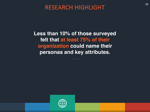**Less than 10% of those surveyed felt that at least 75% of their organization could name their personas and key attributes.** 

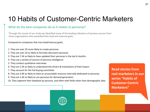### 10 Habits of Customer-Centric Marketers

#### What do the best companies do as it relates to personas?

Through the course of our study we identified many of the leading indicators of persona success from those organizations who exceeded their lead and revenue goals.

Compared to companies that miss lead/revenue goals,

- 1. They are over 2X more likely to create personas
- 2. They are over 2X as likely to formally document personas
- 3. They are 7.4X as likely to have updated their personas in the last 6 months
- 4. They use a variety of sources of persona intelligence
- 5. They conduct qualitative interviews

© 
 Copyright 
 2016 
 Cintell 
 All 
 Rights 
 Reserved 

- 6. They are 2.3X as likely to understand the drivers & motivations of their buyers
- 7. They account for the full buying committee
- 8. They are 3.8X as likely to have an accountable resource internally dedicated to personas
- 9. They are 2.4X as likely to use personas for demand generation
- 10. They segment their database by persona, and often with fields other than demographic data

**Read stories from real marketers in our** series "Habits of **Customer-Centric Marketers"**